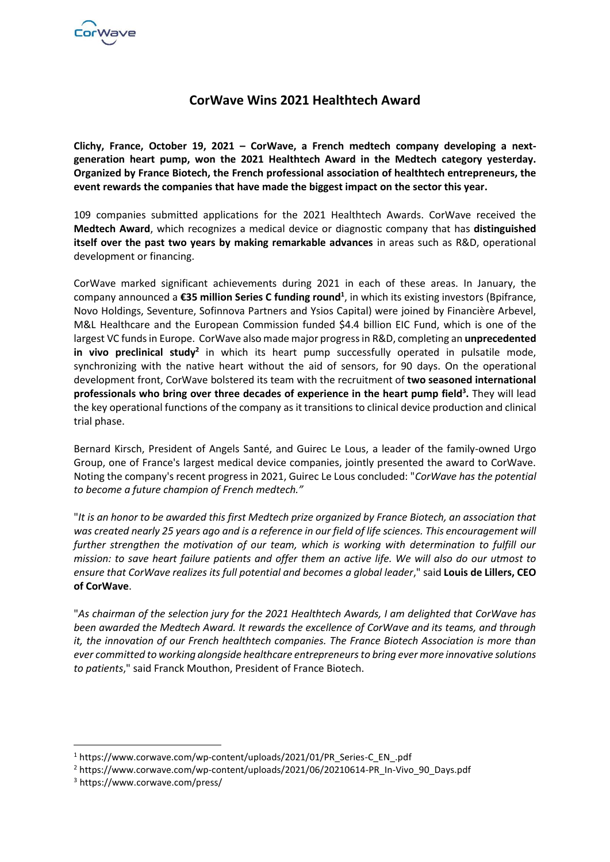

# **CorWave Wins 2021 Healthtech Award**

**Clichy, France, October 19, 2021 – CorWave, a French medtech company developing a nextgeneration heart pump, won the 2021 Healthtech Award in the Medtech category yesterday. Organized by France Biotech, the French professional association of healthtech entrepreneurs, the event rewards the companies that have made the biggest impact on the sector this year.**

109 companies submitted applications for the 2021 Healthtech Awards. CorWave received the **Medtech Award**, which recognizes a medical device or diagnostic company that has **distinguished itself over the past two years by making remarkable advances** in areas such as R&D, operational development or financing.

CorWave marked significant achievements during 2021 in each of these areas. In January, the company announced a **€35 million Series C funding round<sup>1</sup>** , in which its existing investors (Bpifrance, Novo Holdings, Seventure, Sofinnova Partners and Ysios Capital) were joined by Financière Arbevel, M&L Healthcare and the European Commission funded \$4.4 billion EIC Fund, which is one of the largest VC funds in Europe. CorWave also made major progress in R&D, completing an **unprecedented**  in vivo preclinical study<sup>2</sup> in which its heart pump successfully operated in pulsatile mode, synchronizing with the native heart without the aid of sensors, for 90 days. On the operational development front, CorWave bolstered its team with the recruitment of **two seasoned international professionals who bring over three decades of experience in the heart pump field<sup>3</sup> .** They will lead the key operational functions of the company as it transitions to clinical device production and clinical trial phase.

Bernard Kirsch, President of Angels Santé, and Guirec Le Lous, a leader of the family-owned Urgo Group, one of France's largest medical device companies, jointly presented the award to CorWave. Noting the company's recent progress in 2021, Guirec Le Lous concluded: "*CorWave has the potential to become a future champion of French medtech."*

"*It is an honor to be awarded this first Medtech prize organized by France Biotech, an association that was created nearly 25 years ago and is a reference in our field of life sciences. This encouragement will further strengthen the motivation of our team, which is working with determination to fulfill our mission: to save heart failure patients and offer them an active life. We will also do our utmost to ensure that CorWave realizes its full potential and becomes a global leader*," said **Louis de Lillers, CEO of CorWave**.

"*As chairman of the selection jury for the 2021 Healthtech Awards, I am delighted that CorWave has been awarded the Medtech Award. It rewards the excellence of CorWave and its teams, and through it, the innovation of our French healthtech companies. The France Biotech Association is more than ever committed to working alongside healthcare entrepreneurs to bring ever more innovative solutions to patients*," said Franck Mouthon, President of France Biotech.

<sup>1</sup> https://www.corwave.com/wp-content/uploads/2021/01/PR\_Series-C\_EN\_.pdf

<sup>2</sup> https://www.corwave.com/wp-content/uploads/2021/06/20210614-PR\_In-Vivo\_90\_Days.pdf

<sup>3</sup> https://www.corwave.com/press/